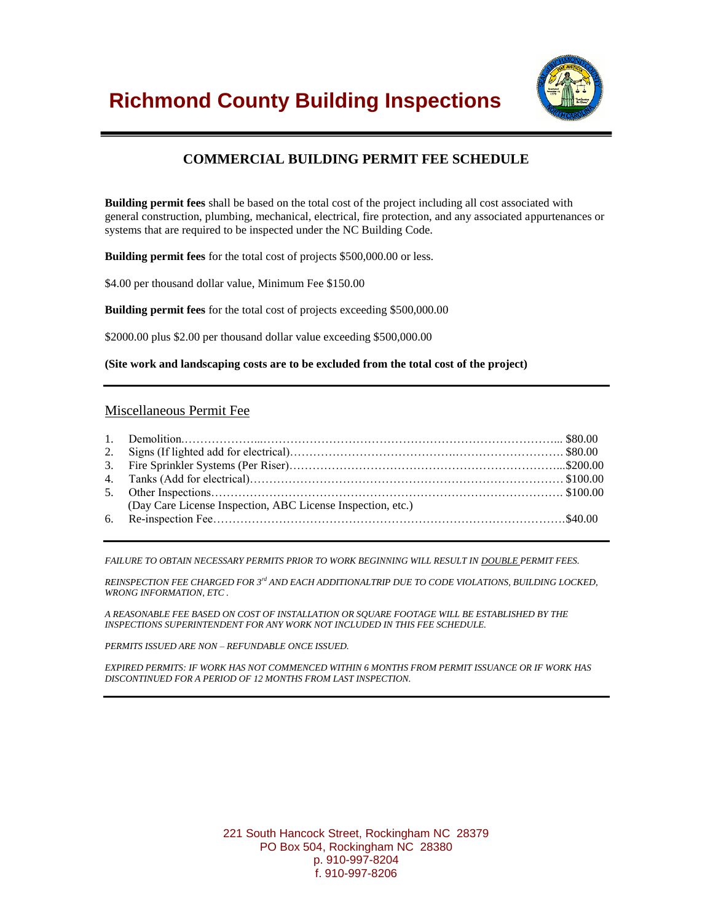

# **COMMERCIAL BUILDING PERMIT FEE SCHEDULE**

**Building permit fees** shall be based on the total cost of the project including all cost associated with general construction, plumbing, mechanical, electrical, fire protection, and any associated appurtenances or systems that are required to be inspected under the NC Building Code.

**Building permit fees** for the total cost of projects \$500,000.00 or less.

\$4.00 per thousand dollar value, Minimum Fee \$150.00

**Building permit fees** for the total cost of projects exceeding \$500,000.00

\$2000.00 plus \$2.00 per thousand dollar value exceeding \$500,000.00

**(Site work and landscaping costs are to be excluded from the total cost of the project)**

### Miscellaneous Permit Fee

| (Day Care License Inspection, ABC License Inspection, etc.) |
|-------------------------------------------------------------|

*FAILURE TO OBTAIN NECESSARY PERMITS PRIOR TO WORK BEGINNING WILL RESULT IN DOUBLE PERMIT FEES.*

*REINSPECTION FEE CHARGED FOR 3rd AND EACH ADDITIONALTRIP DUE TO CODE VIOLATIONS, BUILDING LOCKED, WRONG INFORMATION, ETC .*

*A REASONABLE FEE BASED ON COST OF INSTALLATION OR SQUARE FOOTAGE WILL BE ESTABLISHED BY THE INSPECTIONS SUPERINTENDENT FOR ANY WORK NOT INCLUDED IN THIS FEE SCHEDULE.*

*PERMITS ISSUED ARE NON – REFUNDABLE ONCE ISSUED.*

*EXPIRED PERMITS: IF WORK HAS NOT COMMENCED WITHIN 6 MONTHS FROM PERMIT ISSUANCE OR IF WORK HAS DISCONTINUED FOR A PERIOD OF 12 MONTHS FROM LAST INSPECTION.*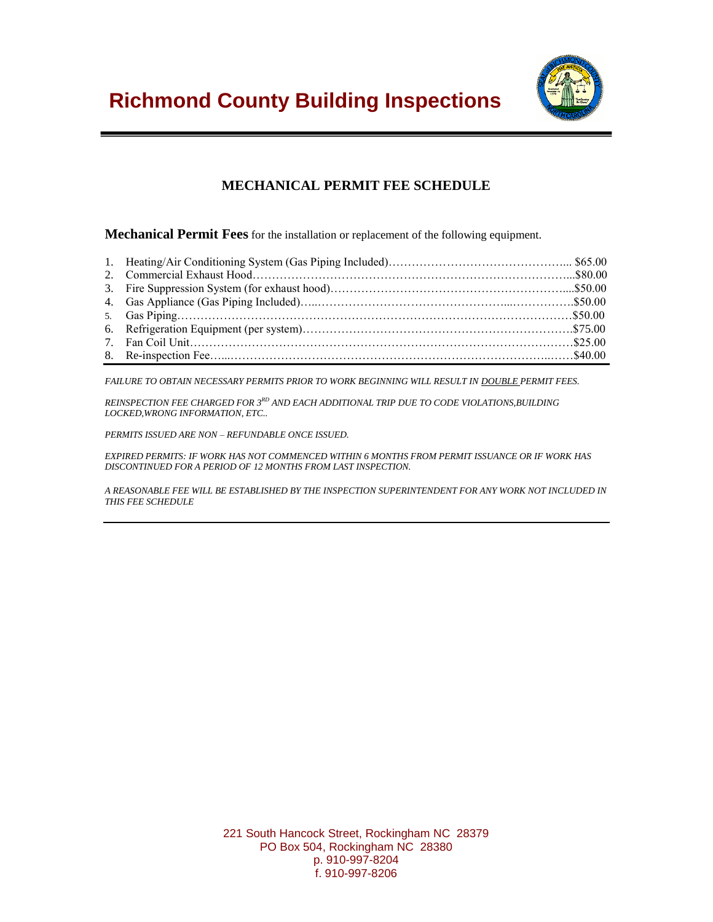

# **MECHANICAL PERMIT FEE SCHEDULE**

**Mechanical Permit Fees** for the installation or replacement of the following equipment.

*FAILURE TO OBTAIN NECESSARY PERMITS PRIOR TO WORK BEGINNING WILL RESULT IN DOUBLE PERMIT FEES.*

*REINSPECTION FEE CHARGED FOR 3RD AND EACH ADDITIONAL TRIP DUE TO CODE VIOLATIONS,BUILDING LOCKED,WRONG INFORMATION, ETC..*

*PERMITS ISSUED ARE NON – REFUNDABLE ONCE ISSUED.*

*EXPIRED PERMITS: IF WORK HAS NOT COMMENCED WITHIN 6 MONTHS FROM PERMIT ISSUANCE OR IF WORK HAS DISCONTINUED FOR A PERIOD OF 12 MONTHS FROM LAST INSPECTION.*

*A REASONABLE FEE WILL BE ESTABLISHED BY THE INSPECTION SUPERINTENDENT FOR ANY WORK NOT INCLUDED IN THIS FEE SCHEDULE*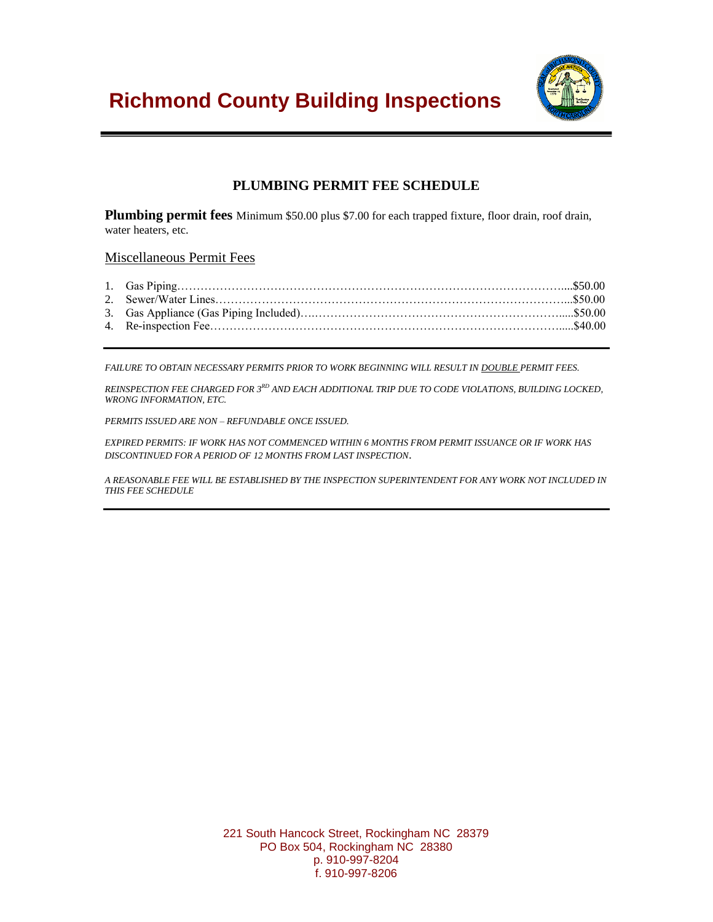

# **PLUMBING PERMIT FEE SCHEDULE**

**Plumbing permit fees** Minimum \$50.00 plus \$7.00 for each trapped fixture, floor drain, roof drain, water heaters, etc.

### Miscellaneous Permit Fees

*FAILURE TO OBTAIN NECESSARY PERMITS PRIOR TO WORK BEGINNING WILL RESULT IN DOUBLE PERMIT FEES.*

*REINSPECTION FEE CHARGED FOR 3RD AND EACH ADDITIONAL TRIP DUE TO CODE VIOLATIONS, BUILDING LOCKED, WRONG INFORMATION, ETC.*

*PERMITS ISSUED ARE NON – REFUNDABLE ONCE ISSUED.*

*EXPIRED PERMITS: IF WORK HAS NOT COMMENCED WITHIN 6 MONTHS FROM PERMIT ISSUANCE OR IF WORK HAS DISCONTINUED FOR A PERIOD OF 12 MONTHS FROM LAST INSPECTION*.

*A REASONABLE FEE WILL BE ESTABLISHED BY THE INSPECTION SUPERINTENDENT FOR ANY WORK NOT INCLUDED IN THIS FEE SCHEDULE*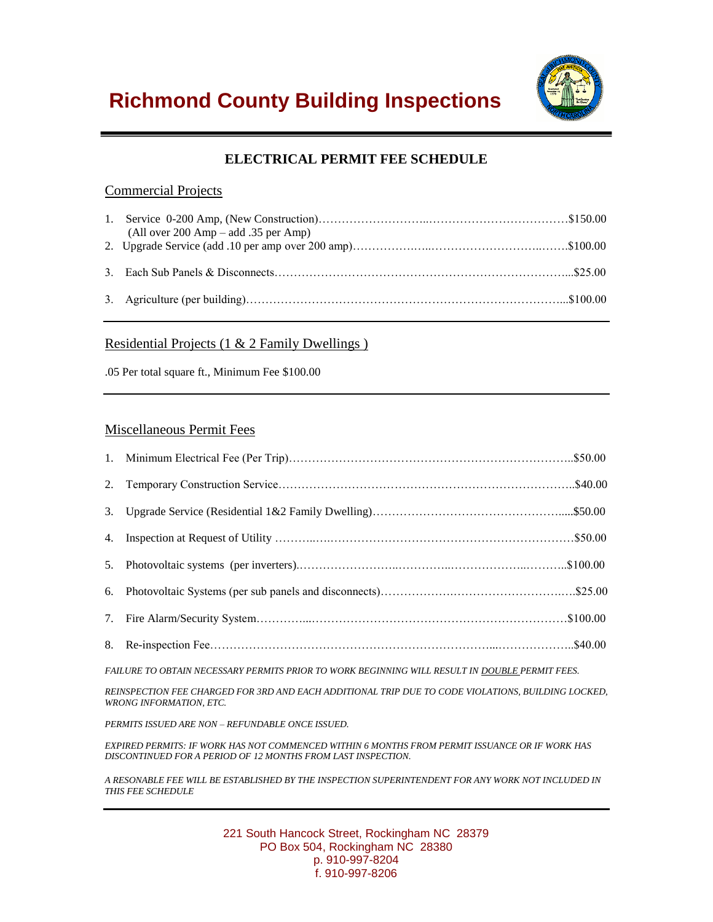

# **ELECTRICAL PERMIT FEE SCHEDULE**

### Commercial Projects

| (All over $200 \text{ Amp} - \text{add } .35 \text{ per Amp}$ ) |  |
|-----------------------------------------------------------------|--|
|                                                                 |  |
|                                                                 |  |
|                                                                 |  |

### Residential Projects (1 & 2 Family Dwellings )

.05 Per total square ft., Minimum Fee \$100.00

### Miscellaneous Permit Fees

*FAILURE TO OBTAIN NECESSARY PERMITS PRIOR TO WORK BEGINNING WILL RESULT IN DOUBLE PERMIT FEES.*

*REINSPECTION FEE CHARGED FOR 3RD AND EACH ADDITIONAL TRIP DUE TO CODE VIOLATIONS, BUILDING LOCKED, WRONG INFORMATION, ETC.*

*PERMITS ISSUED ARE NON – REFUNDABLE ONCE ISSUED.*

*EXPIRED PERMITS: IF WORK HAS NOT COMMENCED WITHIN 6 MONTHS FROM PERMIT ISSUANCE OR IF WORK HAS DISCONTINUED FOR A PERIOD OF 12 MONTHS FROM LAST INSPECTION.*

*A RESONABLE FEE WILL BE ESTABLISHED BY THE INSPECTION SUPERINTENDENT FOR ANY WORK NOT INCLUDED IN THIS FEE SCHEDULE*